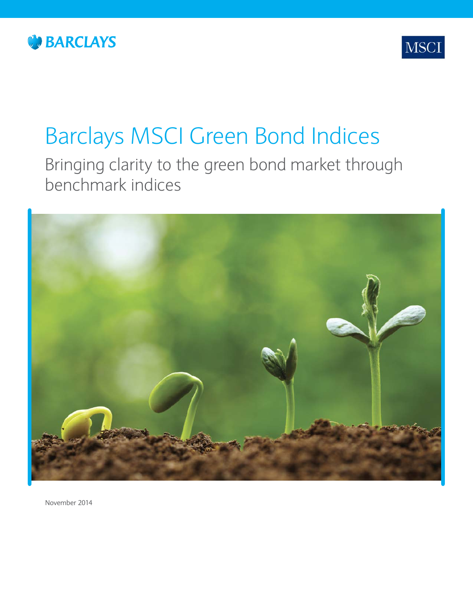



# Barclays MSCI Green Bond Indices

Bringing clarity to the green bond market through benchmark indices



November 2014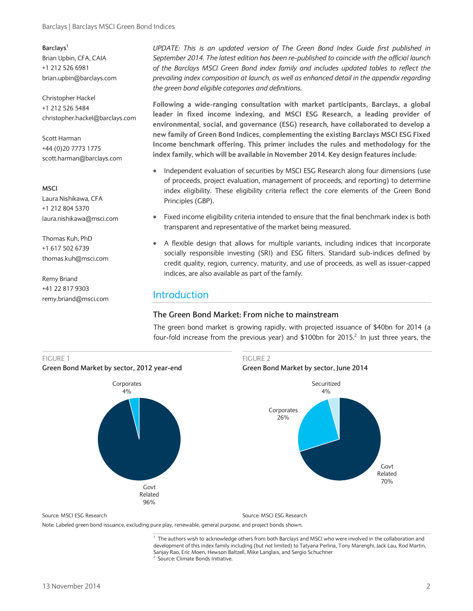#### **Barclays1**

Brian Upbin, CFA, CAIA +1 212 526 6981 brian.upbin@barclays.com

Christopher Hackel +1 212 526 5484 christopher.hackel@barclays.com

Scott Harman +44 (0)20 7773 1775 scott.harman@barclays.com

#### **MSCI**

Laura Nishikawa, CFA +1 212 804 5370 laura.nishikawa@msci.com

Thomas Kuh, PhD +1 617 502 6739 thomas.kuh@msci.com

Remy Briand +41 22 817 9303 remy.briand@msci.com UPDATE: This is an updated version of The Green Bond Index Guide first published in *September 2014. The latest edition has been re-published to coincide with the official launch of the Barclays MSCI Green Bond index family and includes updated tables to reflect the*  prevailing index composition at launch, as well as enhanced detail in the appendix regarding *the green bond eligible categories and definitions.*

**Following a wide-ranging consultation with market participants, Barclays, a global leader in fixed income indexing, and MSCI ESG Research, a leading provider of environmental, social, and governance (ESG) research, have collaborated to develop a new family of Green Bond Indices, complementing the existing Barclays MSCI ESG Fixed Income benchmark offering. This primer includes the rules and methodology for the index family, which will be available in November 2014. Key design features include:**

- Independent evaluation of securities by MSCI ESG Research along four dimensions (use of proceeds, project evaluation, management of proceeds, and reporting) to determine index eligibility. These eligibility criteria reflect the core elements of the Green Bond Principles (GBP).
- Fixed income eligibility criteria intended to ensure that the final benchmark index is both transparent and representative of the market being measured.
- A flexible design that allows for multiple variants, including indices that incorporate socially responsible investing (SRI) and ESG filters. Standard sub-indices defined by credit quality, region, currency, maturity, and use of proceeds, as well as issuer-capped indices, are also available as part of the family.

## Introduction

#### **The Green Bond Market: From niche to mainstream**

The green bond market is growing rapidly, with projected issuance of \$40bn for 2014 (a four-fold increase from the previous year) and  $$100bn$  for 2015.<sup>2</sup> In just three years, the



 $1$  The authors wish to acknowledge others from both Barclays and MSCI who were involved in the collaboration and development of this index family including (but not limited) to Tatyana Perlina, Tony Marenghi, Jack Lau, Rod Martin, Sanjay Rao, Eric Moen, Hewson Baltzell, Mike Langlais, and Sergio Schuchner<br><sup>2</sup> Source: Climate Bonds Initiative.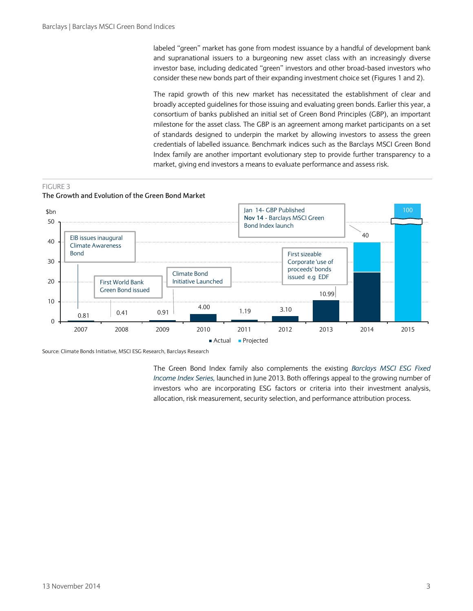labeled "green" market has gone from modest issuance by a handful of development bank and supranational issuers to a burgeoning new asset class with an increasingly diverse investor base, including dedicated "green" investors and other broad-based investors who consider these new bonds part of their expanding investment choice set (Figures 1 and 2).

The rapid growth of this new market has necessitated the establishment of clear and broadly accepted guidelines for those issuing and evaluating green bonds. Earlier this year, a consortium of banks published an initial set of Green Bond Principles (GBP), an important milestone for the asset class. The GBP is an agreement among market participants on a set of standards designed to underpin the market by allowing investors to assess the green credentials of labelled issuance. Benchmark indices such as the Barclays MSCI Green Bond Index family are another important evolutionary step to provide further transparency to a market, giving end investors a means to evaluate performance and assess risk.



#### FIGURE 3 **The Growth and Evolution of the Green Bond Market**

Source: Climate Bonds Initiative, MSCI ESG Research, Barclays Research

The Green Bond Index family also complements the existing *[Barclays MSCI ESG Fixed](https://live.barcap.com/go/publications/content?contentPubID=FC1938350)  [Income Index Series,](https://live.barcap.com/go/publications/content?contentPubID=FC1938350)* launched in June 2013. Both offerings appeal to the growing number of investors who are incorporating ESG factors or criteria into their investment analysis, allocation, risk measurement, security selection, and performance attribution process.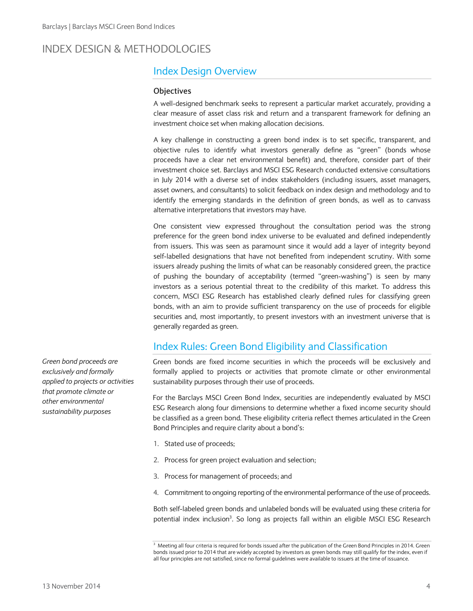## INDEX DESIGN & METHODOLOGIES

## Index Design Overview

#### **Objectives**

A well-designed benchmark seeks to represent a particular market accurately, providing a clear measure of asset class risk and return and a transparent framework for defining an investment choice set when making allocation decisions.

A key challenge in constructing a green bond index is to set specific, transparent, and objective rules to identify what investors generally define as "green" (bonds whose proceeds have a clear net environmental benefit) and, therefore, consider part of their investment choice set. Barclays and MSCI ESG Research conducted extensive consultations in July 2014 with a diverse set of index stakeholders (including issuers, asset managers, asset owners, and consultants) to solicit feedback on index design and methodology and to identify the emerging standards in the definition of green bonds, as well as to canvass alternative interpretations that investors may have.

One consistent view expressed throughout the consultation period was the strong preference for the green bond index universe to be evaluated and defined independently from issuers. This was seen as paramount since it would add a layer of integrity beyond self-labelled designations that have not benefited from independent scrutiny. With some issuers already pushing the limits of what can be reasonably considered green, the practice of pushing the boundary of acceptability (termed "green-washing") is seen by many investors as a serious potential threat to the credibility of this market. To address this concern, MSCI ESG Research has established clearly defined rules for classifying green bonds, with an aim to provide sufficient transparency on the use of proceeds for eligible securities and, most importantly, to present investors with an investment universe that is generally regarded as green.

## Index Rules: Green Bond Eligibility and Classification

Green bonds are fixed income securities in which the proceeds will be exclusively and formally applied to projects or activities that promote climate or other environmental sustainability purposes through their use of proceeds.

For the Barclays MSCI Green Bond Index, securities are independently evaluated by MSCI ESG Research along four dimensions to determine whether a fixed income security should be classified as a green bond. These eligibility criteria reflect themes articulated in the Green Bond Principles and require clarity about a bond's:

- 1. Stated use of proceeds;
- 2. Process for green project evaluation and selection;
- 3. Process for management of proceeds; and
- 4. Commitment to ongoing reporting of the environmental performance of the use of proceeds.

Both self-labeled green bonds and unlabeled bonds will be evaluated using these criteria for potential index inclusion<sup>3</sup>. So long as projects fall within an eligible MSCI ESG Research

*Green bond proceeds are exclusively and formally applied to projects or activities that promote climate or other environmental sustainability purposes* 

<sup>&</sup>lt;sup>3</sup> Meeting all four criteria is required for bonds issued after the publication of the Green Bond Principles in 2014. Green bonds issued prior to 2014 that are widely accepted by investors as green bonds may still qualify for the index, even if all four principles are not satisfied, since no formal guidelines were available to issuers at the time of issuance.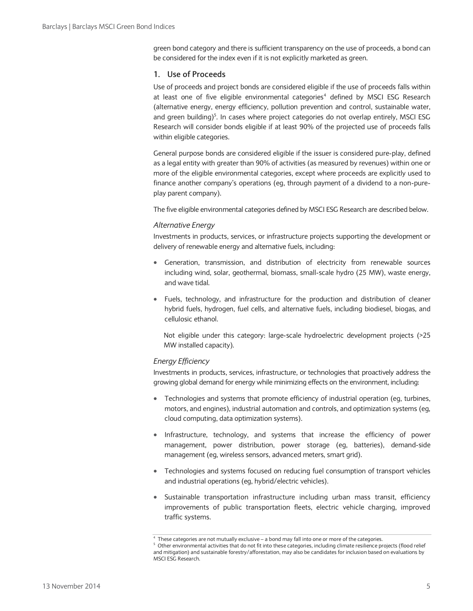green bond category and there is sufficient transparency on the use of proceeds, a bond can be considered for the index even if it is not explicitly marketed as green.

#### **1. Use of Proceeds**

Use of proceeds and project bonds are considered eligible if the use of proceeds falls within at least one of five eligible environmental categories<sup>4</sup> defined by MSCI ESG Research (alternative energy, energy efficiency, pollution prevention and control, sustainable water, and green building)<sup>5</sup>. In cases where project categories do not overlap entirely, MSCI ESG Research will consider bonds eligible if at least 90% of the projected use of proceeds falls within eligible categories.

General purpose bonds are considered eligible if the issuer is considered pure-play, defined as a legal entity with greater than 90% of activities (as measured by revenues) within one or more of the eligible environmental categories, except where proceeds are explicitly used to finance another company's operations (eg, through payment of a dividend to a non-pureplay parent company).

The five eligible environmental categories defined by MSCI ESG Research are described below.

#### *Alternative Energy*

Investments in products, services, or infrastructure projects supporting the development or delivery of renewable energy and alternative fuels, including:

- Generation, transmission, and distribution of electricity from renewable sources including wind, solar, geothermal, biomass, small-scale hydro (25 MW), waste energy, and wave tidal.
- Fuels, technology, and infrastructure for the production and distribution of cleaner hybrid fuels, hydrogen, fuel cells, and alternative fuels, including biodiesel, biogas, and cellulosic ethanol.

Not eligible under this category: large-scale hydroelectric development projects (>25 MW installed capacity).

#### *Energy Efficiency*

Investments in products, services, infrastructure, or technologies that proactively address the growing global demand for energy while minimizing effects on the environment, including:

- Technologies and systems that promote efficiency of industrial operation (eg, turbines, motors, and engines), industrial automation and controls, and optimization systems (eg, cloud computing, data optimization systems).
- Infrastructure, technology, and systems that increase the efficiency of power management, power distribution, power storage (eg, batteries), demand-side management (eg, wireless sensors, advanced meters, smart grid).
- Technologies and systems focused on reducing fuel consumption of transport vehicles and industrial operations (eg, hybrid/electric vehicles).
- Sustainable transportation infrastructure including urban mass transit, efficiency improvements of public transportation fleets, electric vehicle charging, improved traffic systems.

<sup>&</sup>lt;sup>4</sup> These categories are not mutually exclusive – a bond may fall into one or more of the categories.<br><sup>5</sup> Other environmental activities that do not fit into these categories, including climate resilience projects (flood and mitigation) and sustainable forestry/afforestation, may also be candidates for inclusion based on evaluations by MSCI ESG Research.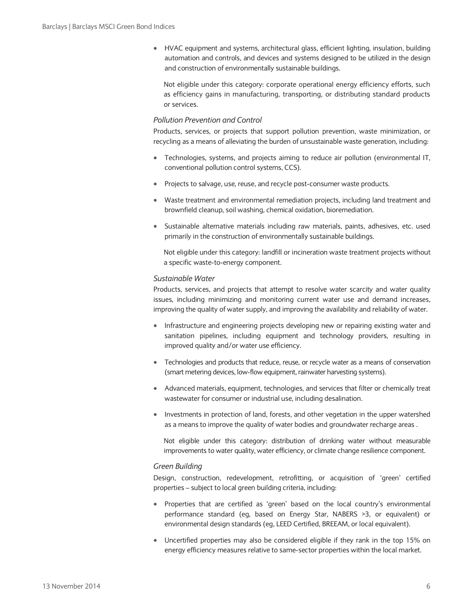• HVAC equipment and systems, architectural glass, efficient lighting, insulation, building automation and controls, and devices and systems designed to be utilized in the design and construction of environmentally sustainable buildings.

Not eligible under this category: corporate operational energy efficiency efforts, such as efficiency gains in manufacturing, transporting, or distributing standard products or services.

#### *Pollution Prevention and Control*

Products, services, or projects that support pollution prevention, waste minimization, or recycling as a means of alleviating the burden of unsustainable waste generation, including:

- Technologies, systems, and projects aiming to reduce air pollution (environmental IT, conventional pollution control systems, CCS).
- Projects to salvage, use, reuse, and recycle post-consumer waste products.
- Waste treatment and environmental remediation projects, including land treatment and brownfield cleanup, soil washing, chemical oxidation, bioremediation.
- Sustainable alternative materials including raw materials, paints, adhesives, etc. used primarily in the construction of environmentally sustainable buildings.

Not eligible under this category: landfill or incineration waste treatment projects without a specific waste-to-energy component.

#### *Sustainable Water*

Products, services, and projects that attempt to resolve water scarcity and water quality issues, including minimizing and monitoring current water use and demand increases, improving the quality of water supply, and improving the availability and reliability of water.

- Infrastructure and engineering projects developing new or repairing existing water and sanitation pipelines, including equipment and technology providers, resulting in improved quality and/or water use efficiency.
- Technologies and products that reduce, reuse, or recycle water as a means of conservation (smart metering devices, low-flow equipment, rainwater harvesting systems).
- Advanced materials, equipment, technologies, and services that filter or chemically treat wastewater for consumer or industrial use, including desalination.
- Investments in protection of land, forests, and other vegetation in the upper watershed as a means to improve the quality of water bodies and groundwater recharge areas .

Not eligible under this category: distribution of drinking water without measurable improvements to water quality, water efficiency, or climate change resilience component.

#### *Green Building*

Design, construction, redevelopment, retrofitting, or acquisition of 'green' certified properties – subject to local green building criteria, including:

- Properties that are certified as 'green' based on the local country's environmental performance standard (eg, based on Energy Star, NABERS >3, or equivalent) or environmental design standards (eg, LEED Certified, BREEAM, or local equivalent).
- Uncertified properties may also be considered eligible if they rank in the top 15% on energy efficiency measures relative to same-sector properties within the local market.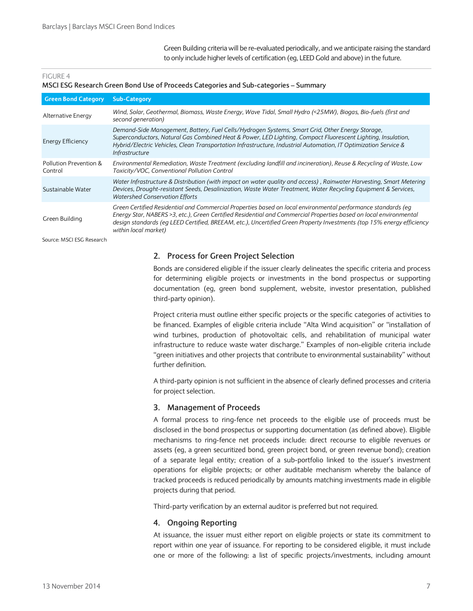Green Building criteria will be re-evaluated periodically, and we anticipate raising the standard to only include higher levels of certification (eg, LEED Gold and above) in the future.

#### FIGURE 4

#### **MSCI ESG Research Green Bond Use of Proceeds Categories and Sub-categories – Summary**

| <b>Green Bond Category</b>        | <b>Sub-Category</b>                                                                                                                                                                                                                                                                                                                                                                |
|-----------------------------------|------------------------------------------------------------------------------------------------------------------------------------------------------------------------------------------------------------------------------------------------------------------------------------------------------------------------------------------------------------------------------------|
| Alternative Energy                | Wind, Solar, Geothermal, Biomass, Waste Energy, Wave Tidal, Small Hydro (<25MW), Biogas, Bio-fuels (first and<br>second generation)                                                                                                                                                                                                                                                |
| <b>Energy Efficiency</b>          | Demand-Side Management, Battery, Fuel Cells/Hydrogen Systems, Smart Grid, Other Energy Storage,<br>Superconductors, Natural Gas Combined Heat & Power, LED Lighting, Compact Fluorescent Lighting, Insulation,<br>Hybrid/Electric Vehicles, Clean Transportation Infrastructure, Industrial Automation, IT Optimization Service &<br><i>Infrastructure</i>                         |
| Pollution Prevention &<br>Control | Environmental Remediation, Waste Treatment (excluding landfill and incineration), Reuse & Recycling of Waste, Low<br>Toxicity/VOC, Conventional Pollution Control                                                                                                                                                                                                                  |
| Sustainable Water                 | Water Infrastructure & Distribution (with impact on water quality and access), Rainwater Harvesting, Smart Metering<br>Devices, Drought-resistant Seeds, Desalinization, Waste Water Treatment, Water Recycling Equipment & Services,<br><b>Watershed Conservation Efforts</b>                                                                                                     |
| Green Building                    | Green Certified Residential and Commercial Properties based on local environmental performance standards (eq<br>Energy Star, NABERS >3, etc.), Green Certified Residential and Commercial Properties based on local environmental<br>design standards (eq LEED Certified, BREEAM, etc.), Uncertified Green Property Investments (top 15% energy efficiency<br>within local market) |

Source: MSCI ESG Research

#### **2. Process for Green Project Selection**

Bonds are considered eligible if the issuer clearly delineates the specific criteria and process for determining eligible projects or investments in the bond prospectus or supporting documentation (eg, green bond supplement, website, investor presentation, published third-party opinion).

Project criteria must outline either specific projects or the specific categories of activities to be financed. Examples of eligible criteria include "Alta Wind acquisition" or "installation of wind turbines, production of photovoltaic cells, and rehabilitation of municipal water infrastructure to reduce waste water discharge." Examples of non-eligible criteria include "green initiatives and other projects that contribute to environmental sustainability" without further definition.

A third-party opinion is not sufficient in the absence of clearly defined processes and criteria for project selection.

#### **3. Management of Proceeds**

A formal process to ring-fence net proceeds to the eligible use of proceeds must be disclosed in the bond prospectus or supporting documentation (as defined above). Eligible mechanisms to ring-fence net proceeds include: direct recourse to eligible revenues or assets (eg, a green securitized bond, green project bond, or green revenue bond); creation of a separate legal entity; creation of a sub-portfolio linked to the issuer's investment operations for eligible projects; or other auditable mechanism whereby the balance of tracked proceeds is reduced periodically by amounts matching investments made in eligible projects during that period.

Third-party verification by an external auditor is preferred but not required.

#### **4. Ongoing Reporting**

At issuance, the issuer must either report on eligible projects or state its commitment to report within one year of issuance. For reporting to be considered eligible, it must include one or more of the following: a list of specific projects/investments, including amount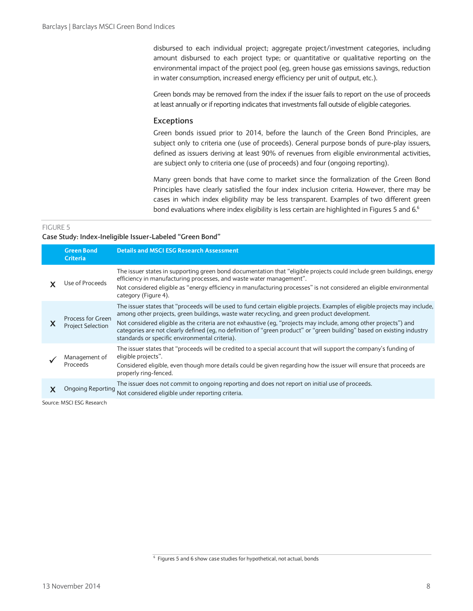disbursed to each individual project; aggregate project/investment categories, including amount disbursed to each project type; or quantitative or qualitative reporting on the environmental impact of the project pool (eg, green house gas emissions savings, reduction in water consumption, increased energy efficiency per unit of output, etc.).

Green bonds may be removed from the index if the issuer fails to report on the use of proceeds at least annually or if reporting indicates that investments fall outside of eligible categories.

#### **Exceptions**

Green bonds issued prior to 2014, before the launch of the Green Bond Principles, are subject only to criteria one (use of proceeds). General purpose bonds of pure-play issuers, defined as issuers deriving at least 90% of revenues from eligible environmental activities, are subject only to criteria one (use of proceeds) and four (ongoing reporting).

Many green bonds that have come to market since the formalization of the Green Bond Principles have clearly satisfied the four index inclusion criteria. However, there may be cases in which index eligibility may be less transparent. Examples of two different green bond evaluations where index eligibility is less certain are highlighted in Figures 5 and  $6<sup>6</sup>$ 

#### FIGURE 5

#### **Case Study: Index-Ineligible Issuer-Labeled "Green Bond"**

| <b>Green Bond</b><br><b>Criteria</b>                 | <b>Details and MSCI ESG Research Assessment</b>                                                                                                                                                                                                                                                                                                                                                                                                                                                                               |
|------------------------------------------------------|-------------------------------------------------------------------------------------------------------------------------------------------------------------------------------------------------------------------------------------------------------------------------------------------------------------------------------------------------------------------------------------------------------------------------------------------------------------------------------------------------------------------------------|
| Use of Proceeds                                      | The issuer states in supporting green bond documentation that "eligible projects could include green buildings, energy<br>efficiency in manufacturing processes, and waste water management".<br>Not considered eligible as "energy efficiency in manufacturing processes" is not considered an eligible environmental<br>category (Figure 4).                                                                                                                                                                                |
| <b>Process for Green</b><br><b>Project Selection</b> | The issuer states that "proceeds will be used to fund certain eligible projects. Examples of eligible projects may include,<br>among other projects, green buildings, waste water recycling, and green product development.<br>Not considered eligible as the criteria are not exhaustive (eq, "projects may include, among other projects") and<br>categories are not clearly defined (eg, no definition of "green product" or "green building" based on existing industry<br>standards or specific environmental criteria). |
| Management of<br>Proceeds                            | The issuer states that "proceeds will be credited to a special account that will support the company's funding of<br>eligible projects".<br>Considered eligible, even though more details could be given regarding how the issuer will ensure that proceeds are<br>properly ring-fenced.                                                                                                                                                                                                                                      |
| <b>Ongoing Reporting</b>                             | The issuer does not commit to ongoing reporting and does not report on initial use of proceeds.<br>Not considered eligible under reporting criteria.                                                                                                                                                                                                                                                                                                                                                                          |

Source: MSCI ESG Research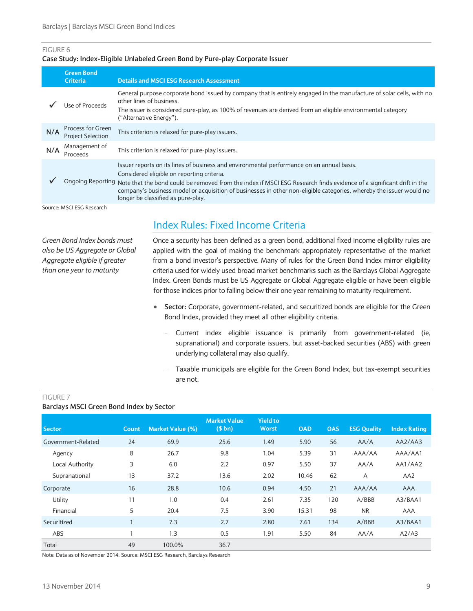#### **Case Study: Index-Eligible Unlabeled Green Bond by Pure-play Corporate Issuer**

|     | <b>Green Bond</b><br><b>Criteria</b>          | <b>Details and MSCI ESG Research Assessment</b>                                                                                                                                                                                                                                                                                                                                                                                                |
|-----|-----------------------------------------------|------------------------------------------------------------------------------------------------------------------------------------------------------------------------------------------------------------------------------------------------------------------------------------------------------------------------------------------------------------------------------------------------------------------------------------------------|
|     | Use of Proceeds                               | General purpose corporate bond issued by company that is entirely engaged in the manufacture of solar cells, with no<br>other lines of business.<br>The issuer is considered pure-play, as 100% of revenues are derived from an eligible environmental category<br>("Alternative Energy").                                                                                                                                                     |
| N/A | Process for Green<br><b>Project Selection</b> | This criterion is relaxed for pure-play issuers.                                                                                                                                                                                                                                                                                                                                                                                               |
| N/A | Management of<br>Proceeds                     | This criterion is relaxed for pure-play issuers.                                                                                                                                                                                                                                                                                                                                                                                               |
|     |                                               | Issuer reports on its lines of business and environmental performance on an annual basis.<br>Considered eligible on reporting criteria.<br>Ongoing Reporting Note that the bond could be removed from the index if MSCI ESG Research finds evidence of a significant drift in the<br>company's business model or acquisition of businesses in other non-eligible categories, whereby the issuer would no<br>longer be classified as pure-play. |

Source: MSCI ESG Research

## Index Rules: Fixed Income Criteria

*Green Bond Index bonds must also be US Aggregate or Global Aggregate eligible if greater than one year to maturity*

Once a security has been defined as a green bond, additional fixed income eligibility rules are applied with the goal of making the benchmark appropriately representative of the market from a bond investor's perspective. Many of rules for the Green Bond Index mirror eligibility criteria used for widely used broad market benchmarks such as the Barclays Global Aggregate Index. Green Bonds must be US Aggregate or Global Aggregate eligible or have been eligible for those indices prior to falling below their one year remaining to maturity requirement.

- **Sector:** Corporate, government-related, and securitized bonds are eligible for the Green Bond Index, provided they meet all other eligibility criteria.
	- Current index eligible issuance is primarily from government-related (ie, supranational) and corporate issuers, but asset-backed securities (ABS) with green underlying collateral may also qualify.
	- Taxable municipals are eligible for the Green Bond Index, but tax-exempt securities are not.

#### FIGURE 7

#### **Barclays MSCI Green Bond Index by Sector**

| <b>Sector</b>          | <b>Count</b> | <b>Market Value (%)</b> | <b>Market Value</b><br>(\$bn) | <b>Yield to</b><br><b>Worst</b> | <b>OAD</b> | <b>OAS</b> | <b>ESG Quality</b> | <b>Index Rating</b> |
|------------------------|--------------|-------------------------|-------------------------------|---------------------------------|------------|------------|--------------------|---------------------|
| Government-Related     | 24           | 69.9                    | 25.6                          | 1.49                            | 5.90       | 56         | AA/A               | AA2/AA3             |
| Agency                 | 8            | 26.7                    | 9.8                           | 1.04                            | 5.39       | 31         | AAA/AA             | AAA/AA1             |
| <b>Local Authority</b> | 3            | 6.0                     | 2.2                           | 0.97                            | 5.50       | 37         | AA/A               | AA1/AA2             |
| Supranational          | 13           | 37.2                    | 13.6                          | 2.02                            | 10.46      | 62         | A                  | AA <sub>2</sub>     |
| Corporate              | 16           | 28.8                    | 10.6                          | 0.94                            | 4.50       | 21         | AAA/AA             | AAA                 |
| Utility                | 11           | 1.0                     | 0.4                           | 2.61                            | 7.35       | 120        | A/BBB              | A3/BAA1             |
| Financial              | 5            | 20.4                    | 7.5                           | 3.90                            | 15.31      | 98         | <b>NR</b>          | AAA                 |
| Securitized            |              | 7.3                     | 2.7                           | 2.80                            | 7.61       | 134        | A/BBB              | A3/BAA1             |
| ABS                    |              | 1.3                     | 0.5                           | 1.91                            | 5.50       | 84         | AA/A               | A2/A3               |
| Total                  | 49           | 100.0%                  | 36.7                          |                                 |            |            |                    |                     |

Note: Data as of November 2014. Source: MSCI ESG Research, Barclays Research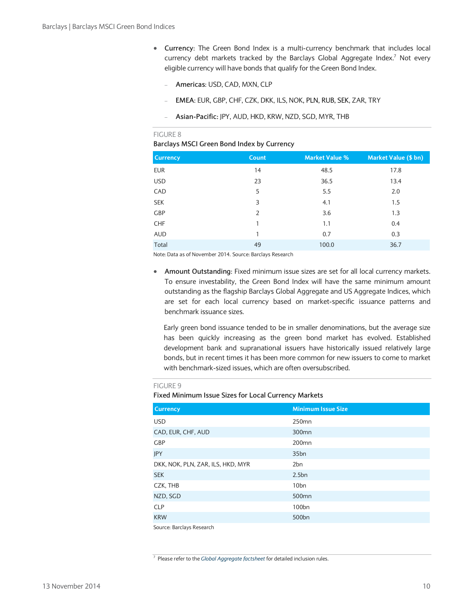- **Currency**: The Green Bond Index is a multi-currency benchmark that includes local currency debt markets tracked by the Barclays Global Aggregate Index.<sup>7</sup> Not every eligible currency will have bonds that qualify for the Green Bond Index.
	- − **Americas**: USD, CAD, MXN, CLP
	- − **EMEA**: EUR, GBP, CHF, CZK, DKK, ILS, NOK, PLN, RUB, SEK, ZAR, TRY
	- − **Asian-Pacific:** JPY, AUD, HKD, KRW, NZD, SGD, MYR, THB

**Barclays MSCI Green Bond Index by Currency** 

| <b>Currency</b> | <b>Count</b> | <b>Market Value %</b> | Market Value (\$ bn) |
|-----------------|--------------|-----------------------|----------------------|
| <b>EUR</b>      | 14           | 48.5                  | 17.8                 |
| <b>USD</b>      | 23           | 36.5                  | 13.4                 |
| CAD             | 5            | 5.5                   | 2.0                  |
| <b>SEK</b>      | 3            | 4.1                   | 1.5                  |
| <b>GBP</b>      | 2            | 3.6                   | 1.3                  |
| CHF             | 1            | 1.1                   | 0.4                  |
| <b>AUD</b>      | 1            | 0.7                   | 0.3                  |
| Total           | 49           | 100.0                 | 36.7                 |

Note: Data as of November 2014. Source: Barclays Research

• **Amount Outstanding**: Fixed minimum issue sizes are set for all local currency markets. To ensure investability, the Green Bond Index will have the same minimum amount outstanding as the flagship Barclays Global Aggregate and US Aggregate Indices, which are set for each local currency based on market-specific issuance patterns and benchmark issuance sizes.

Early green bond issuance tended to be in smaller denominations, but the average size has been quickly increasing as the green bond market has evolved. Established development bank and supranational issuers have historically issued relatively large bonds, but in recent times it has been more common for new issuers to come to market with benchmark-sized issues, which are often oversubscribed.

#### FIGURE 9

**Fixed Minimum Issue Sizes for Local Currency Markets**

| <b>Currency</b>                   | <b>Minimum Issue Size</b> |
|-----------------------------------|---------------------------|
| <b>USD</b>                        | 250 <sub>mn</sub>         |
| CAD, EUR, CHF, AUD                | 300 <sub>mn</sub>         |
| <b>GBP</b>                        | 200 <sub>mn</sub>         |
| <b>JPY</b>                        | 35 <sub>bn</sub>          |
| DKK, NOK, PLN, ZAR, ILS, HKD, MYR | 2 <sub>bn</sub>           |
| <b>SEK</b>                        | 2.5 <sub>bn</sub>         |
| CZK, THB                          | 10 <sub>bn</sub>          |
| NZD, SGD                          | 500 <sub>mn</sub>         |
| <b>CLP</b>                        | 100 <sub>bn</sub>         |
| <b>KRW</b>                        | 500 <sub>bn</sub>         |
| Country Douglass Departure        |                           |

Source: Barclays Research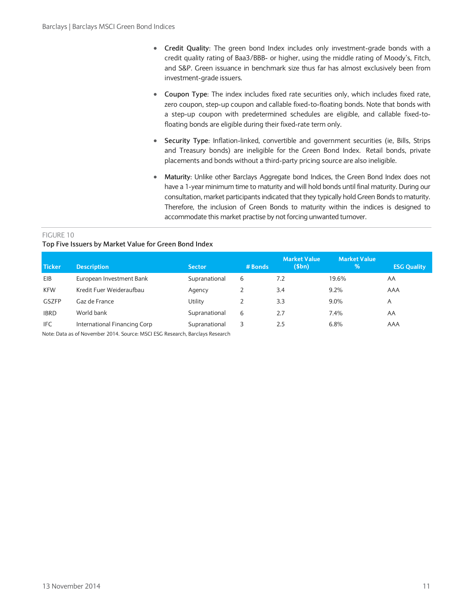- **Credit Quality**: The green bond Index includes only investment-grade bonds with a credit quality rating of Baa3/BBB- or higher, using the middle rating of Moody's, Fitch, and S&P. Green issuance in benchmark size thus far has almost exclusively been from investment-grade issuers.
- **Coupon Type**: The index includes fixed rate securities only, which includes fixed rate, zero coupon, step-up coupon and callable fixed-to-floating bonds. Note that bonds with a step-up coupon with predetermined schedules are eligible, and callable fixed-tofloating bonds are eligible during their fixed-rate term only.
- **Security Type**: Inflation-linked, convertible and government securities (ie, Bills, Strips and Treasury bonds) are ineligible for the Green Bond Index. Retail bonds, private placements and bonds without a third-party pricing source are also ineligible.
- **Maturity**: Unlike other Barclays Aggregate bond Indices, the Green Bond Index does not have a 1-year minimum time to maturity and will hold bonds until final maturity. During our consultation, market participants indicated that they typically hold Green Bonds to maturity. Therefore, the inclusion of Green Bonds to maturity within the indices is designed to accommodate this market practise by not forcing unwanted turnover.

#### **Top Five Issuers by Market Value for Green Bond Index**

| <b>Ticker</b> | <b>Description</b>           | <b>Sector</b> | # Bonds | <b>Market Value</b><br>\$bn) | <b>Market Value</b><br>$\frac{9}{6}$ | <b>ESG Quality</b> |
|---------------|------------------------------|---------------|---------|------------------------------|--------------------------------------|--------------------|
| EIB           | European Investment Bank     | Supranational | 6       | 7.2                          | 19.6%                                | AA                 |
| KFW           | Kredit Fuer Weideraufbau     | Agency        | ∠       | 3.4                          | 9.2%                                 | AAA                |
| <b>GSZFP</b>  | Gaz de France                | Utility       |         | 3.3                          | $9.0\%$                              | A                  |
| <b>IBRD</b>   | World bank                   | Supranational | 6       | 2.7                          | 7.4%                                 | AA                 |
| IFC           | International Financing Corp | Supranational | 3       | 2.5                          | 6.8%                                 | AAA                |

Note: Data as of November 2014. Source: MSCI ESG Research, Barclays Research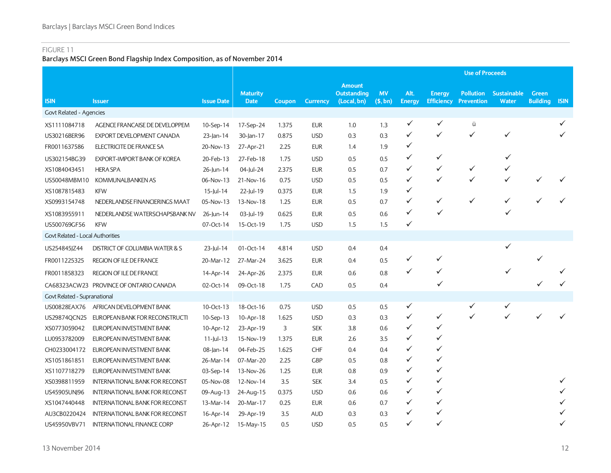## **Barclays MSCI Green Bond Flagship Index Composition, as of November 2014**

|                                         |                                         |                   |                                |               |                 |                                                    |                             |                       |                                    | <b>Use of Proceeds</b>                |                                    |                                 |             |
|-----------------------------------------|-----------------------------------------|-------------------|--------------------------------|---------------|-----------------|----------------------------------------------------|-----------------------------|-----------------------|------------------------------------|---------------------------------------|------------------------------------|---------------------------------|-------------|
| <b>ISIN</b>                             | <b>Issuer</b>                           | <b>Issue Date</b> | <b>Maturity</b><br><b>Date</b> | <b>Coupon</b> | <b>Currency</b> | <b>Amount</b><br><b>Outstanding</b><br>(Local, bn) | <b>MV</b><br>$($ \$, bn $)$ | Alt.<br><b>Energy</b> | <b>Energy</b><br><b>Efficiency</b> | <b>Pollution</b><br><b>Prevention</b> | <b>Sustainable</b><br><b>Water</b> | <b>Green</b><br><b>Building</b> | <b>ISIN</b> |
| Govt Related - Agencies                 |                                         |                   |                                |               |                 |                                                    |                             |                       |                                    |                                       |                                    |                                 |             |
| XS1111084718                            | AGENCE FRANCAISE DE DEVELOPPEM          | 10-Sep-14         | 17-Sep-24                      | 1.375         | <b>EUR</b>      | 1.0                                                | 1.3                         | ✓                     | $\checkmark$                       | ü                                     |                                    |                                 |             |
| US30216BER96                            | EXPORT DEVELOPMENT CANADA               | 23-Jan-14         | 30-Jan-17                      | 0.875         | <b>USD</b>      | 0.3                                                | 0.3                         | $\checkmark$          | $\checkmark$                       | ✓                                     | ✓                                  |                                 |             |
| FR0011637586                            | ELECTRICITE DE FRANCE SA                | 20-Nov-13         | 27-Apr-21                      | 2.25          | <b>EUR</b>      | 1.4                                                | 1.9                         | $\checkmark$          |                                    |                                       |                                    |                                 |             |
| US302154BG39                            | EXPORT-IMPORT BANK OF KOREA             | 20-Feb-13         | 27-Feb-18                      | 1.75          | <b>USD</b>      | 0.5                                                | 0.5                         | ✓                     | $\checkmark$                       |                                       | ✓                                  |                                 |             |
| XS1084043451                            | <b>HERA SPA</b>                         | 26-Jun-14         | 04-Jul-24                      | 2.375         | <b>EUR</b>      | 0.5                                                | 0.7                         | ✓                     | $\checkmark$                       | ✓                                     | ✓                                  |                                 |             |
| US50048MBM10                            | KOMMUNALBANKEN AS                       | 06-Nov-13         | 21-Nov-16                      | 0.75          | <b>USD</b>      | 0.5                                                | 0.5                         | $\checkmark$          | $\checkmark$                       | ✓                                     | ✓                                  |                                 |             |
| XS1087815483                            | <b>KFW</b>                              | 15-Jul-14         | 22-Jul-19                      | 0.375         | <b>EUR</b>      | 1.5                                                | 1.9                         | ✓                     |                                    |                                       |                                    |                                 |             |
| XS0993154748                            | NEDERLANDSE FINANCIERINGS MAAT          | 05-Nov-13         | 13-Nov-18                      | 1.25          | <b>EUR</b>      | 0.5                                                | 0.7                         | ✓                     | $\checkmark$                       | ✓                                     | ✓                                  |                                 |             |
| XS1083955911                            | NEDERLANDSE WATERSCHAPSBANK NV          | 26-Jun-14         | 03-Jul-19                      | 0.625         | <b>EUR</b>      | 0.5                                                | 0.6                         | ✓                     | ✓                                  |                                       | ✓                                  |                                 |             |
| US500769GF56                            | <b>KFW</b>                              | 07-Oct-14         | 15-Oct-19                      | 1.75          | <b>USD</b>      | 1.5                                                | 1.5                         | ✓                     |                                    |                                       |                                    |                                 |             |
| <b>Covt Related - Local Authorities</b> |                                         |                   |                                |               |                 |                                                    |                             |                       |                                    |                                       |                                    |                                 |             |
| US254845JZ44                            | DISTRICT OF COLUMBIA WATER & S          | 23-Jul-14         | 01-Oct-14                      | 4.814         | <b>USD</b>      | 0.4                                                | 0.4                         |                       |                                    |                                       | ✓                                  |                                 |             |
| FR0011225325                            | <b>REGION OF ILE DE FRANCE</b>          | 20-Mar-12         | 27-Mar-24                      | 3.625         | <b>EUR</b>      | 0.4                                                | 0.5                         | ✓                     | ✓                                  |                                       |                                    | ✓                               |             |
| FR0011858323                            | REGION OF ILE DE FRANCE                 | 14-Apr-14         | 24-Apr-26                      | 2.375         | <b>EUR</b>      | 0.6                                                | 0.8                         | ✓                     | ✓                                  |                                       | ✓                                  |                                 |             |
|                                         | CA68323ACW23 PROVINCE OF ONTARIO CANADA | 02-Oct-14         | 09-Oct-18                      | 1.75          | CAD             | 0.5                                                | 0.4                         |                       | ✓                                  |                                       |                                    |                                 |             |
| <b>Covt Related - Supranational</b>     |                                         |                   |                                |               |                 |                                                    |                             |                       |                                    |                                       |                                    |                                 |             |
| US00828EAX76                            | AFRICAN DEVELOPMENT BANK                | 10-Oct-13         | 18-Oct-16                      | 0.75          | <b>USD</b>      | 0.5                                                | 0.5                         | $\checkmark$          |                                    | ✓                                     | ✓                                  |                                 |             |
| US29874QCN25                            | EUROPEAN BANK FOR RECONSTRUCTI          | 10-Sep-13         | 10-Apr-18                      | 1.625         | <b>USD</b>      | 0.3                                                | 0.3                         | $\checkmark$          | $\checkmark$                       | ✓                                     | ✓                                  |                                 |             |
| XS0773059042                            | EUROPEAN INVESTMENT BANK                | 10-Apr-12         | 23-Apr-19                      | 3             | <b>SEK</b>      | 3.8                                                | 0.6                         | ✓                     | ✓                                  |                                       |                                    |                                 |             |
| LU0953782009                            | EUROPEAN INVESTMENT BANK                | $11$ -Jul-13      | 15-Nov-19                      | 1.375         | <b>EUR</b>      | 2.6                                                | 3.5                         | $\checkmark$          | ✓                                  |                                       |                                    |                                 |             |
| CH0233004172                            | EUROPEAN INVESTMENT BANK                | 08-Jan-14         | 04-Feb-25                      | 1.625         | <b>CHF</b>      | 0.4                                                | 0.4                         | ✓                     | ✓                                  |                                       |                                    |                                 |             |
| XS1051861851                            | EUROPEAN INVESTMENT BANK                | 26-Mar-14         | 07-Mar-20                      | 2.25          | <b>GBP</b>      | 0.5                                                | 0.8                         | ✓                     | ✓                                  |                                       |                                    |                                 |             |
| XS1107718279                            | EUROPEAN INVESTMENT BANK                | 03-Sep-14         | 13-Nov-26                      | 1.25          | <b>EUR</b>      | 0.8                                                | 0.9                         | $\checkmark$          | $\checkmark$                       |                                       |                                    |                                 |             |
| XS0398811959                            | <b>INTERNATIONAL BANK FOR RECONST</b>   | 05-Nov-08         | 12-Nov-14                      | 3.5           | <b>SEK</b>      | 3.4                                                | 0.5                         | ✓                     | ✓                                  |                                       |                                    |                                 |             |
| US45905UNJ96                            | <b>INTERNATIONAL BANK FOR RECONST</b>   | 09-Aug-13         | 24-Aug-15                      | 0.375         | <b>USD</b>      | 0.6                                                | 0.6                         | $\checkmark$          | $\checkmark$                       |                                       |                                    |                                 |             |
| XS1047440448                            | <b>INTERNATIONAL BANK FOR RECONST</b>   | 13-Mar-14         | 20-Mar-17                      | 0.25          | <b>EUR</b>      | 0.6                                                | 0.7                         | ✓                     | $\checkmark$                       |                                       |                                    |                                 |             |
| AU3CB0220424                            | <b>INTERNATIONAL BANK FOR RECONST</b>   | 16-Apr-14         | 29-Apr-19                      | 3.5           | <b>AUD</b>      | 0.3                                                | 0.3                         | ✓                     | ✓                                  |                                       |                                    |                                 |             |
| US45950VBV71                            | <b>INTERNATIONAL FINANCE CORP</b>       | 26-Apr-12         | 15-May-15                      | 0.5           | <b>USD</b>      | 0.5                                                | 0.5                         | ✓                     | ✓                                  |                                       |                                    |                                 | ✓           |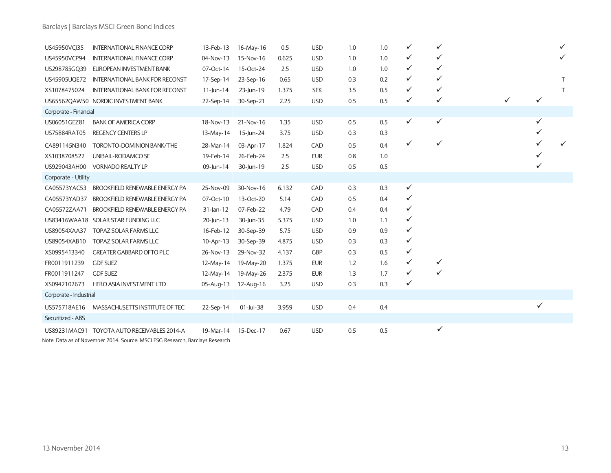#### Barclays | Barclays MSCI Green Bond Indices

| US45950VCJ35           | <b>INTERNATIONAL FINANCE CORP</b>           | 13-Feb-13 | 16-May-16    | 0.5   | <b>USD</b> | 1.0 | 1.0 | ✓            | ✓            |   |              |   |
|------------------------|---------------------------------------------|-----------|--------------|-------|------------|-----|-----|--------------|--------------|---|--------------|---|
| US45950VCP94           | <b>INTERNATIONAL FINANCE CORP</b>           | 04-Nov-13 | 15-Nov-16    | 0.625 | <b>USD</b> | 1.0 | 1.0 | ✓            | $\checkmark$ |   |              | ✓ |
|                        | US298785GQ39 EUROPEAN INVESTMENT BANK       | 07-Oct-14 | 15-Oct-24    | 2.5   | <b>USD</b> | 1.0 | 1.0 | ✓            |              |   |              |   |
| US45905UQE72           | <b>INTERNATIONAL BANK FOR RECONST</b>       | 17-Sep-14 | 23-Sep-16    | 0.65  | <b>USD</b> | 0.3 | 0.2 | ✓            | ✓            |   |              | T |
| XS1078475024           | <b>INTERNATIONAL BANK FOR RECONST</b>       | 11-Jun-14 | 23-Jun-19    | 1.375 | <b>SEK</b> | 3.5 | 0.5 | ✓            | ✓            |   |              | T |
|                        | US65562QAW50 NORDIC INVESTMENT BANK         | 22-Sep-14 | 30-Sep-21    | 2.25  | <b>USD</b> | 0.5 | 0.5 | $\checkmark$ | $\checkmark$ | ✓ | $\checkmark$ |   |
| Corporate - Financial  |                                             |           |              |       |            |     |     |              |              |   |              |   |
| US06051GEZ81           | <b>BANK OF AMERICA CORP</b>                 | 18-Nov-13 | 21-Nov-16    | 1.35  | <b>USD</b> | 0.5 | 0.5 | $\checkmark$ | $\checkmark$ |   | $\checkmark$ |   |
| US75884RAT05           | <b>REGENCY CENTERS LP</b>                   | 13-May-14 | 15-Jun-24    | 3.75  | <b>USD</b> | 0.3 | 0.3 |              |              |   |              |   |
| CA891145N340           | TORONTO-DOMINION BANK/THE                   | 28-Mar-14 | 03-Apr-17    | 1.824 | CAD        | 0.5 | 0.4 | $\checkmark$ |              |   |              |   |
| XS1038708522           | UNIBAIL-RODAMCO SE                          | 19-Feb-14 | 26-Feb-24    | 2.5   | <b>EUR</b> | 0.8 | 1.0 |              |              |   |              |   |
| US929043AH00           | <b>VORNADO REALTY LP</b>                    | 09-Jun-14 | 30-Jun-19    | 2.5   | <b>USD</b> | 0.5 | 0.5 |              |              |   |              |   |
| Corporate - Utility    |                                             |           |              |       |            |     |     |              |              |   |              |   |
| CA05573YAC53           | <b>BROOKFIELD RENEWABLE ENERGY PA</b>       | 25-Nov-09 | 30-Nov-16    | 6.132 | CAD        | 0.3 | 0.3 | $\checkmark$ |              |   |              |   |
| CA05573YAD37           | <b>BROOKFIELD RENEWABLE ENERGY PA</b>       | 07-Oct-10 | 13-Oct-20    | 5.14  | CAD        | 0.5 | 0.4 | ✓            |              |   |              |   |
| CA05572ZAA71           | <b>BROOKFIELD RENEWABLE ENERGY PA</b>       | 31-Jan-12 | 07-Feb-22    | 4.79  | CAD        | 0.4 | 0.4 | ✓            |              |   |              |   |
|                        | US83416WAA18 SOLAR STAR FUNDING LLC         | 20-Jun-13 | 30-Jun-35    | 5.375 | <b>USD</b> | 1.0 | 1.1 | ✓            |              |   |              |   |
| US89054XAA37           | TOPAZ SOLAR FARMS LLC                       | 16-Feb-12 | 30-Sep-39    | 5.75  | <b>USD</b> | 0.9 | 0.9 | ✓            |              |   |              |   |
| US89054XAB10           | TOPAZ SOLAR FARMS LLC                       | 10-Apr-13 | 30-Sep-39    | 4.875 | <b>USD</b> | 0.3 | 0.3 | ✓            |              |   |              |   |
| XS0995413340           | <b>GREATER GABBARD OFTO PLC</b>             | 26-Nov-13 | 29-Nov-32    | 4.137 | <b>GBP</b> | 0.3 | 0.5 | ✓            |              |   |              |   |
| FR0011911239           | <b>GDF SUEZ</b>                             | 12-May-14 | 19-May-20    | 1.375 | <b>EUR</b> | 1.2 | 1.6 | ✓            | ✓            |   |              |   |
| FR0011911247           | <b>GDF SUEZ</b>                             | 12-May-14 | 19-May-26    | 2.375 | <b>EUR</b> | 1.3 | 1.7 | ✓            |              |   |              |   |
| XS0942102673           | HERO ASIA INVESTMENT LTD                    | 05-Aug-13 | 12-Aug-16    | 3.25  | <b>USD</b> | 0.3 | 0.3 | ✓            |              |   |              |   |
| Corporate - Industrial |                                             |           |              |       |            |     |     |              |              |   |              |   |
| US575718AE16           | MASSACHUSETTS INSTITUTE OF TEC              | 22-Sep-14 | $01$ -Jul-38 | 3.959 | <b>USD</b> | 0.4 | 0.4 |              |              |   | ✓            |   |
| Securitized - ABS      |                                             |           |              |       |            |     |     |              |              |   |              |   |
|                        | US89231MAC91 TOYOTA AUTO RECEIVABLES 2014-A | 19-Mar-14 | 15-Dec-17    | 0.67  | <b>USD</b> | 0.5 | 0.5 |              | ✓            |   |              |   |

Note: Data as of November 2014. Source: MSCI ESG Research, Barclays Research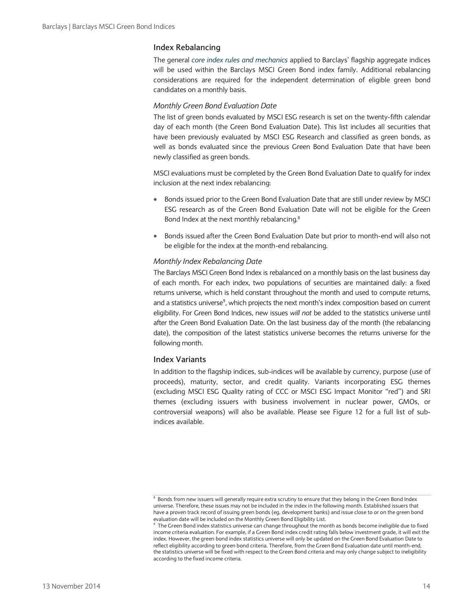#### **Index Rebalancing**

The general *[core index rules and mechanics](https://live.barcap.com/go/publications/content?contentPubID=FC2053397)* applied to Barclays' flagship aggregate indices will be used within the Barclays MSCI Green Bond index family. Additional rebalancing considerations are required for the independent determination of eligible green bond candidates on a monthly basis.

#### *Monthly Green Bond Evaluation Date*

The list of green bonds evaluated by MSCI ESG research is set on the twenty-fifth calendar day of each month (the Green Bond Evaluation Date). This list includes all securities that have been previously evaluated by MSCI ESG Research and classified as green bonds, as well as bonds evaluated since the previous Green Bond Evaluation Date that have been newly classified as green bonds.

MSCI evaluations must be completed by the Green Bond Evaluation Date to qualify for index inclusion at the next index rebalancing:

- Bonds issued prior to the Green Bond Evaluation Date that are still under review by MSCI ESG research as of the Green Bond Evaluation Date will not be eligible for the Green Bond Index at the next monthly rebalancing.8
- Bonds issued after the Green Bond Evaluation Date but prior to month-end will also not be eligible for the index at the month-end rebalancing.

#### *Monthly Index Rebalancing Date*

The Barclays MSCI Green Bond Index is rebalanced on a monthly basis on the last business day of each month. For each index, two populations of securities are maintained daily: a fixed returns universe, which is held constant throughout the month and used to compute returns, and a statistics universe<sup>9</sup>, which projects the next month's index composition based on current eligibility. For Green Bond Indices, new issues *will not* be added to the statistics universe until after the Green Bond Evaluation Date. On the last business day of the month (the rebalancing date), the composition of the latest statistics universe becomes the returns universe for the following month.

#### **Index Variants**

In addition to the flagship indices, sub-indices will be available by currency, purpose (use of proceeds), maturity, sector, and credit quality. Variants incorporating ESG themes (excluding MSCI ESG Quality rating of CCC or MSCI ESG Impact Monitor "red") and SRI themes (excluding issuers with business involvement in nuclear power, GMOs, or controversial weapons) will also be available. Please see Figure 12 for a full list of subindices available.

<sup>8</sup> Bonds from new issuers will generally require extra scrutiny to ensure that they belong in the Green Bond Index universe. Therefore, these issues may not be included in the index in the following month. Established issuers that have a proven track record of issuing green bonds (eg, development banks) and issue close to or on the green bond evaluation date will be included on the Monthly Green Bond Eligibility List.

<sup>&</sup>lt;sup>9</sup> The Green Bond index statistics universe can change throughout the month as bonds become ineligible due to fixed income criteria evaluation. For example, if a Green Bond index credit rating falls below investment grade, it will exit the index. However, the green bond index statistics universe will only be updated on the Green Bond Evaluation Date to reflect eligibility according to green bond criteria. Therefore, from the Green Bond Evaluation date until month-end, the statistics universe will be fixed with respect to the Green Bond criteria and may only change subject to ineligibility according to the fixed income criteria.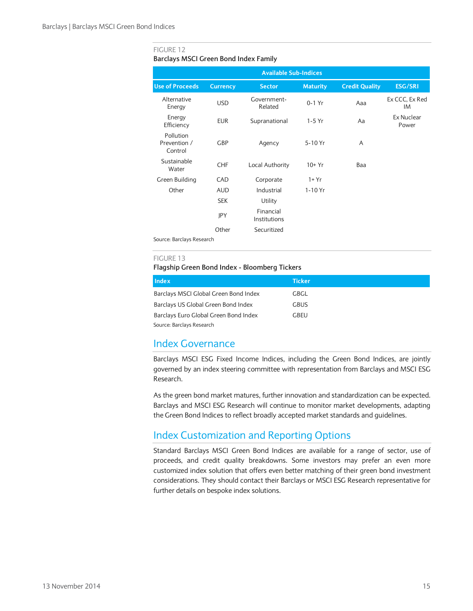|                                      | <b>Available Sub-Indices</b> |                           |                 |                       |                            |  |  |  |
|--------------------------------------|------------------------------|---------------------------|-----------------|-----------------------|----------------------------|--|--|--|
| <b>Use of Proceeds</b>               | <b>Currency</b>              | <b>Sector</b>             | <b>Maturity</b> | <b>Credit Quality</b> | <b>ESG/SRI</b>             |  |  |  |
| Alternative<br>Energy                | <b>USD</b>                   | Government-<br>Related    | $0-1$ Yr        | Aaa                   | Ex CCC, Ex Red<br>IM       |  |  |  |
| Energy<br>Efficiency                 | <b>EUR</b>                   | Supranational             | $1-5$ Yr        | Aa                    | <b>Ex Nuclear</b><br>Power |  |  |  |
| Pollution<br>Prevention /<br>Control | <b>GBP</b>                   | Agency                    | 5-10 Yr         | A                     |                            |  |  |  |
| Sustainable<br>Water                 | <b>CHF</b>                   | Local Authority           | $10+Yr$         | Baa                   |                            |  |  |  |
| Green Building                       | <b>CAD</b>                   | Corporate                 | $1+Yr$          |                       |                            |  |  |  |
| Other                                | <b>AUD</b>                   | Industrial                | $1-10$ Yr       |                       |                            |  |  |  |
|                                      | <b>SEK</b>                   | Utility                   |                 |                       |                            |  |  |  |
|                                      | JPY                          | Financial<br>Institutions |                 |                       |                            |  |  |  |
|                                      | Other                        | Securitized               |                 |                       |                            |  |  |  |
| Source: Barclays Research            |                              |                           |                 |                       |                            |  |  |  |

#### FIGURE 12 **Barclays MSCI Green Bond Index Family**

#### FIGURE 13

#### **Flagship Green Bond Index - Bloomberg Tickers**

| Index                                 | <b>Ticker</b> |
|---------------------------------------|---------------|
| Barclays MSCI Global Green Bond Index | GBGL          |
| Barclays US Global Green Bond Index   | <b>GBUS</b>   |
| Barclays Euro Global Green Bond Index | GBEU          |
| Source: Barclays Research             |               |

## Index Governance

Barclays MSCI ESG Fixed Income Indices, including the Green Bond Indices, are jointly governed by an index steering committee with representation from Barclays and MSCI ESG Research.

As the green bond market matures, further innovation and standardization can be expected. Barclays and MSCI ESG Research will continue to monitor market developments, adapting the Green Bond Indices to reflect broadly accepted market standards and guidelines.

## Index Customization and Reporting Options

Standard Barclays MSCI Green Bond Indices are available for a range of sector, use of proceeds, and credit quality breakdowns. Some investors may prefer an even more customized index solution that offers even better matching of their green bond investment considerations. They should contact their Barclays or MSCI ESG Research representative for further details on bespoke index solutions.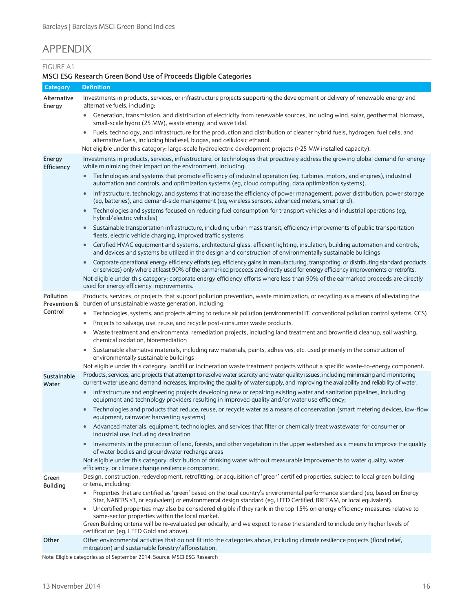## APPENDIX

| <b>FIGURE A1</b>          |                                                                                                                                                                                                                                                                                                                                                                                                                                                                           |
|---------------------------|---------------------------------------------------------------------------------------------------------------------------------------------------------------------------------------------------------------------------------------------------------------------------------------------------------------------------------------------------------------------------------------------------------------------------------------------------------------------------|
|                           | MSCI ESG Research Green Bond Use of Proceeds Eligible Categories                                                                                                                                                                                                                                                                                                                                                                                                          |
| Category                  | <b>Definition</b>                                                                                                                                                                                                                                                                                                                                                                                                                                                         |
| Alternative<br>Energy     | Investments in products, services, or infrastructure projects supporting the development or delivery of renewable energy and<br>alternative fuels, including:                                                                                                                                                                                                                                                                                                             |
|                           | Generation, transmission, and distribution of electricity from renewable sources, including wind, solar, geothermal, biomass,<br>$\bullet$<br>small-scale hydro (25 MW), waste energy, and wave tidal.                                                                                                                                                                                                                                                                    |
|                           | Fuels, technology, and infrastructure for the production and distribution of cleaner hybrid fuels, hydrogen, fuel cells, and<br>$\bullet$<br>alternative fuels, including biodiesel, biogas, and cellulosic ethanol.                                                                                                                                                                                                                                                      |
|                           | Not eligible under this category: large-scale hydroelectric development projects (>25 MW installed capacity).                                                                                                                                                                                                                                                                                                                                                             |
| Energy<br>Efficiency      | Investments in products, services, infrastructure, or technologies that proactively address the growing global demand for energy<br>while minimizing their impact on the environment, including:                                                                                                                                                                                                                                                                          |
|                           | Technologies and systems that promote efficiency of industrial operation (eg, turbines, motors, and engines), industrial<br>$\bullet$<br>automation and controls, and optimization systems (eg, cloud computing, data optimization systems).                                                                                                                                                                                                                              |
|                           | Infrastructure, technology, and systems that increase the efficiency of power management, power distribution, power storage<br>$\bullet$<br>(eg, batteries), and demand-side management (eg, wireless sensors, advanced meters, smart grid).                                                                                                                                                                                                                              |
|                           | Technologies and systems focused on reducing fuel consumption for transport vehicles and industrial operations (eg,<br>$\bullet$<br>hybrid/electric vehicles)                                                                                                                                                                                                                                                                                                             |
|                           | Sustainable transportation infrastructure, including urban mass transit, efficiency improvements of public transportation<br>fleets, electric vehicle charging, improved traffic systems                                                                                                                                                                                                                                                                                  |
|                           | Certified HVAC equipment and systems, architectural glass, efficient lighting, insulation, building automation and controls,<br>$\bullet$<br>and devices and systems be utilized in the design and construction of environmentally sustainable buildings                                                                                                                                                                                                                  |
|                           | Corporate operational energy efficiency efforts (eg, efficiency gains in manufacturing, transporting, or distributing standard products<br>$\bullet$<br>or services) only where at least 90% of the earmarked proceeds are directly used for energy efficiency improvements or retrofits.<br>Not eligible under this category: corporate energy efficiency efforts where less than 90% of the earmarked proceeds are directly<br>used for energy efficiency improvements. |
| Pollution<br>Prevention & | Products, services, or projects that support pollution prevention, waste minimization, or recycling as a means of alleviating the<br>burden of unsustainable waste generation, including:                                                                                                                                                                                                                                                                                 |
| Control                   | Technologies, systems, and projects aiming to reduce air pollution (environmental IT, conventional pollution control systems, CCS)<br>$\bullet$                                                                                                                                                                                                                                                                                                                           |
|                           | Projects to salvage, use, reuse, and recycle post-consumer waste products.<br>$\bullet$                                                                                                                                                                                                                                                                                                                                                                                   |
|                           | Waste treatment and environmental remediation projects, including land treatment and brownfield cleanup, soil washing,<br>chemical oxidation, bioremediation                                                                                                                                                                                                                                                                                                              |
|                           | Sustainable alternative materials, including raw materials, paints, adhesives, etc. used primarily in the construction of<br>environmentally sustainable buildings                                                                                                                                                                                                                                                                                                        |
|                           | Not eligible under this category: landfill or incineration waste treatment projects without a specific waste-to-energy component.                                                                                                                                                                                                                                                                                                                                         |
| Sustainable<br>Water      | Products, services, and projects that attempt to resolve water scarcity and water quality issues, including minimizing and monitoring<br>current water use and demand increases, improving the quality of water supply, and improving the availability and reliability of water.                                                                                                                                                                                          |
|                           | Infrastructure and engineering projects developing new or repairing existing water and sanitation pipelines, including<br>$\bullet$<br>equipment and technology providers resulting in improved quality and/or water use efficiency;                                                                                                                                                                                                                                      |
|                           | Technologies and products that reduce, reuse, or recycle water as a means of conservation (smart metering devices, low-flow<br>equipment, rainwater harvesting systems)                                                                                                                                                                                                                                                                                                   |
|                           | Advanced materials, equipment, technologies, and services that filter or chemically treat wastewater for consumer or<br>industrial use, including desalination                                                                                                                                                                                                                                                                                                            |
|                           | Investments in the protection of land, forests, and other vegetation in the upper watershed as a means to improve the quality<br>$\bullet$<br>of water bodies and groundwater recharge areas                                                                                                                                                                                                                                                                              |
|                           | Not eligible under this category: distribution of drinking water without measurable improvements to water quality, water<br>efficiency, or climate change resilience component.                                                                                                                                                                                                                                                                                           |
| Green<br><b>Building</b>  | Design, construction, redevelopment, retrofitting, or acquisition of 'green' certified properties, subject to local green building<br>criteria, including:                                                                                                                                                                                                                                                                                                                |
|                           | Properties that are certified as 'green' based on the local country's environmental performance standard (eg, based on Energy<br>Star, NABERS >3, or equivalent) or environmental design standard (eg, LEED Certified, BREEAM, or local equivalent).                                                                                                                                                                                                                      |
|                           | Uncertified properties may also be considered eligible if they rank in the top 15% on energy efficiency measures relative to<br>same-sector properties within the local market.<br>Green Building criteria will be re-evaluated periodically, and we expect to raise the standard to include only higher levels of                                                                                                                                                        |
|                           | certification (eg, LEED Gold and above).                                                                                                                                                                                                                                                                                                                                                                                                                                  |
| Other                     | Other environmental activities that do not fit into the categories above, including climate resilience projects (flood relief,<br>mitigation) and sustainable forestry/afforestation.                                                                                                                                                                                                                                                                                     |

Note: Eligible categories as of September 2014. Source: MSCI ESG Research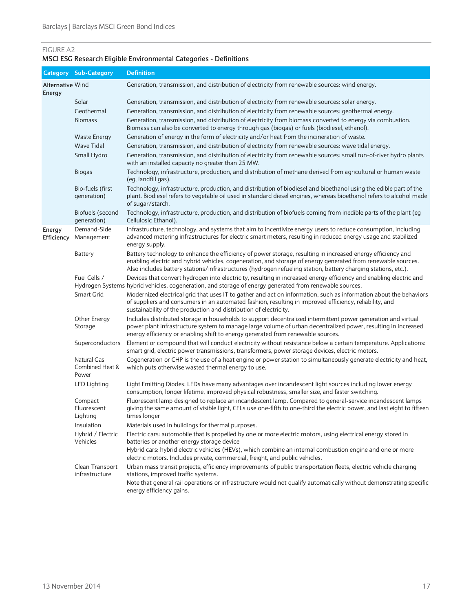#### FIGURE A2 **MSCI ESG Research Eligible Environmental Categories - Definitions**

|                                   | <b>Category Sub-Category</b>            | <b>Definition</b>                                                                                                                                                                                                                                                                                                                            |
|-----------------------------------|-----------------------------------------|----------------------------------------------------------------------------------------------------------------------------------------------------------------------------------------------------------------------------------------------------------------------------------------------------------------------------------------------|
| <b>Alternative Wind</b><br>Energy |                                         | Generation, transmission, and distribution of electricity from renewable sources: wind energy.                                                                                                                                                                                                                                               |
|                                   | Solar                                   | Generation, transmission, and distribution of electricity from renewable sources: solar energy.                                                                                                                                                                                                                                              |
|                                   | Geothermal                              | Generation, transmission, and distribution of electricity from renewable sources: geothermal energy.                                                                                                                                                                                                                                         |
|                                   | <b>Biomass</b>                          | Generation, transmission, and distribution of electricity from biomass converted to energy via combustion.<br>Biomass can also be converted to energy through gas (biogas) or fuels (biodiesel, ethanol).                                                                                                                                    |
|                                   | <b>Waste Energy</b>                     | Generation of energy in the form of electricity and/or heat from the incineration of waste.                                                                                                                                                                                                                                                  |
|                                   | <b>Wave Tidal</b>                       | Generation, transmission, and distribution of electricity from renewable sources: wave tidal energy.                                                                                                                                                                                                                                         |
|                                   | Small Hydro                             | Generation, transmission, and distribution of electricity from renewable sources: small run-of-river hydro plants<br>with an installed capacity no greater than 25 MW.                                                                                                                                                                       |
|                                   | <b>Biogas</b>                           | Technology, infrastructure, production, and distribution of methane derived from agricultural or human waste<br>(eg, landfill gas).                                                                                                                                                                                                          |
|                                   | Bio-fuels (first<br>generation)         | Technology, infrastructure, production, and distribution of biodiesel and bioethanol using the edible part of the<br>plant. Biodiesel refers to vegetable oil used in standard diesel engines, whereas bioethanol refers to alcohol made<br>of sugar/starch.                                                                                 |
|                                   | Biofuels (second<br>generation)         | Technology, infrastructure, production, and distribution of biofuels coming from inedible parts of the plant (eg<br>Cellulosic Ethanol).                                                                                                                                                                                                     |
| Energy<br>Efficiency              | Demand-Side<br>Management               | Infrastructure, technology, and systems that aim to incentivize energy users to reduce consumption, including<br>advanced metering infrastructures for electric smart meters, resulting in reduced energy usage and stabilized<br>energy supply.                                                                                             |
|                                   | <b>Battery</b>                          | Battery technology to enhance the efficiency of power storage, resulting in increased energy efficiency and<br>enabling electric and hybrid vehicles, cogeneration, and storage of energy generated from renewable sources.<br>Also includes battery stations/infrastructures (hydrogen refueling station, battery charging stations, etc.). |
|                                   | Fuel Cells /                            | Devices that convert hydrogen into electricity, resulting in increased energy efficiency and enabling electric and<br>Hydrogen Systems hybrid vehicles, cogeneration, and storage of energy generated from renewable sources.                                                                                                                |
|                                   | <b>Smart Grid</b>                       | Modernized electrical grid that uses IT to gather and act on information, such as information about the behaviors<br>of suppliers and consumers in an automated fashion, resulting in improved efficiency, reliability, and<br>sustainability of the production and distribution of electricity.                                             |
|                                   | Other Energy<br>Storage                 | Includes distributed storage in households to support decentralized intermittent power generation and virtual<br>power plant infrastructure system to manage large volume of urban decentralized power, resulting in increased<br>energy efficiency or enabling shift to energy generated from renewable sources.                            |
|                                   | Superconductors                         | Element or compound that will conduct electricity without resistance below a certain temperature. Applications:<br>smart grid, electric power transmissions, transformers, power storage devices, electric motors.                                                                                                                           |
|                                   | Natural Gas<br>Combined Heat &<br>Power | Cogeneration or CHP is the use of a heat engine or power station to simultaneously generate electricity and heat,<br>which puts otherwise wasted thermal energy to use.                                                                                                                                                                      |
|                                   | <b>LED Lighting</b>                     | Light Emitting Diodes: LEDs have many advantages over incandescent light sources including lower energy<br>consumption, longer lifetime, improved physical robustness, smaller size, and faster switching.                                                                                                                                   |
|                                   | Compact<br>Fluorescent<br>Lighting      | Fluorescent lamp designed to replace an incandescent lamp. Compared to general-service incandescent lamps<br>giving the same amount of visible light, CFLs use one-fifth to one-third the electric power, and last eight to fifteen<br>times longer                                                                                          |
|                                   | Insulation                              | Materials used in buildings for thermal purposes.                                                                                                                                                                                                                                                                                            |
|                                   | Hybrid / Electric<br>Vehicles           | Electric cars: automobile that is propelled by one or more electric motors, using electrical energy stored in<br>batteries or another energy storage device                                                                                                                                                                                  |
|                                   |                                         | Hybrid cars: hybrid electric vehicles (HEVs), which combine an internal combustion engine and one or more<br>electric motors. Includes private, commercial, freight, and public vehicles.                                                                                                                                                    |
|                                   | Clean Transport<br>infrastructure       | Urban mass transit projects, efficiency improvements of public transportation fleets, electric vehicle charging<br>stations, improved traffic systems.                                                                                                                                                                                       |
|                                   |                                         | Note that general rail operations or infrastructure would not qualify automatically without demonstrating specific<br>energy efficiency gains.                                                                                                                                                                                               |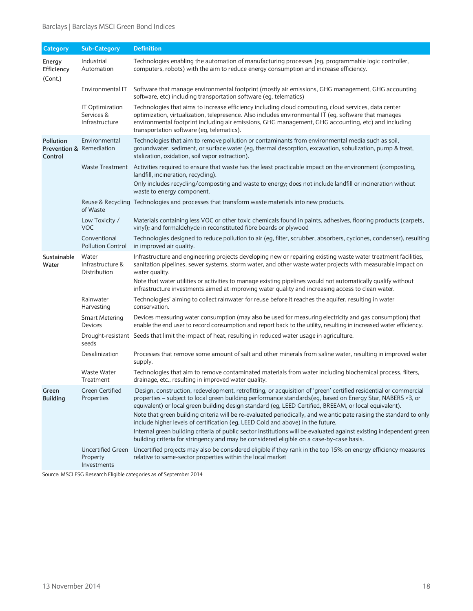| <b>Category</b>                                  | <b>Sub-Category</b>                                    | <b>Definition</b>                                                                                                                                                                                                                                                                                                                                                 |
|--------------------------------------------------|--------------------------------------------------------|-------------------------------------------------------------------------------------------------------------------------------------------------------------------------------------------------------------------------------------------------------------------------------------------------------------------------------------------------------------------|
| Energy<br>Efficiency<br>(Cont.)                  | Industrial<br>Automation                               | Technologies enabling the automation of manufacturing processes (eg, programmable logic controller,<br>computers, robots) with the aim to reduce energy consumption and increase efficiency.                                                                                                                                                                      |
|                                                  | Environmental IT                                       | Software that manage environmental footprint (mostly air emissions, GHG management, GHG accounting<br>software, etc) including transportation software (eq, telematics)                                                                                                                                                                                           |
|                                                  | <b>IT Optimization</b><br>Services &<br>Infrastructure | Technologies that aims to increase efficiency including cloud computing, cloud services, data center<br>optimization, virtualization, telepresence. Also includes environmental IT (eg, software that manages<br>environmental footprint including air emissions, GHG management, GHG accounting, etc) and including<br>transportation software (eg, telematics). |
| Pollution<br>Prevention & Remediation<br>Control | Environmental                                          | Technologies that aim to remove pollution or contaminants from environmental media such as soil,<br>groundwater, sediment, or surface water (eg, thermal desorption, excavation, sobulization, pump & treat,<br>stalization, oxidation, soil vapor extraction).                                                                                                   |
|                                                  |                                                        | Waste Treatment Activities required to ensure that waste has the least practicable impact on the environment (composting,<br>landfill, incineration, recycling).                                                                                                                                                                                                  |
|                                                  |                                                        | Only includes recycling/composting and waste to energy; does not include landfill or incineration without<br>waste to energy component.                                                                                                                                                                                                                           |
|                                                  | of Waste                                               | Reuse & Recycling Technologies and processes that transform waste materials into new products.                                                                                                                                                                                                                                                                    |
|                                                  | Low Toxicity /<br><b>VOC</b>                           | Materials containing less VOC or other toxic chemicals found in paints, adhesives, flooring products (carpets,<br>vinyl); and formaldehyde in reconstituted fibre boards or plywood                                                                                                                                                                               |
|                                                  | Conventional<br><b>Pollution Control</b>               | Technologies designed to reduce pollution to air (eg, filter, scrubber, absorbers, cyclones, condenser), resulting<br>in improved air quality.                                                                                                                                                                                                                    |
| Sustainable<br>Water                             | Water<br>Infrastructure &<br>Distribution              | Infrastructure and engineering projects developing new or repairing existing waste water treatment facilities,<br>sanitation pipelines, sewer systems, storm water, and other waste water projects with measurable impact on<br>water quality.                                                                                                                    |
|                                                  |                                                        | Note that water utilities or activities to manage existing pipelines would not automatically qualify without<br>infrastructure investments aimed at improving water quality and increasing access to clean water.                                                                                                                                                 |
|                                                  | Rainwater<br>Harvesting                                | Technologies' aiming to collect rainwater for reuse before it reaches the aquifer, resulting in water<br>conservation.                                                                                                                                                                                                                                            |
|                                                  | <b>Smart Metering</b><br><b>Devices</b>                | Devices measuring water consumption (may also be used for measuring electricity and gas consumption) that<br>enable the end user to record consumption and report back to the utility, resulting in increased water efficiency.                                                                                                                                   |
|                                                  | seeds                                                  | Drought-resistant Seeds that limit the impact of heat, resulting in reduced water usage in agriculture.                                                                                                                                                                                                                                                           |
|                                                  | Desalinization                                         | Processes that remove some amount of salt and other minerals from saline water, resulting in improved water<br>supply.                                                                                                                                                                                                                                            |
|                                                  | <b>Waste Water</b><br>Treatment                        | Technologies that aim to remove contaminated materials from water including biochemical process, filters,<br>drainage, etc., resulting in improved water quality.                                                                                                                                                                                                 |
| Green<br><b>Building</b>                         | Green Certified<br>Properties                          | Design, construction, redevelopment, retrofitting, or acquisition of 'green' certified residential or commercial<br>properties - subject to local green building performance standards(eg, based on Energy Star, NABERS >3, or<br>equivalent) or local green building design standard (eg, LEED Certified, BREEAM, or local equivalent).                          |
|                                                  |                                                        | Note that green building criteria will be re-evaluated periodically, and we anticipate raising the standard to only<br>include higher levels of certification (eg, LEED Gold and above) in the future.                                                                                                                                                            |
|                                                  |                                                        | Internal green building criteria of public sector institutions will be evaluated against existing independent green<br>building criteria for stringency and may be considered eligible on a case-by-case basis.                                                                                                                                                   |
|                                                  | Uncertified Green<br>Property<br>Investments           | Uncertified projects may also be considered eligible if they rank in the top 15% on energy efficiency measures<br>relative to same-sector properties within the local market                                                                                                                                                                                      |

Source: MSCI ESG Research Eligible categories as of September 2014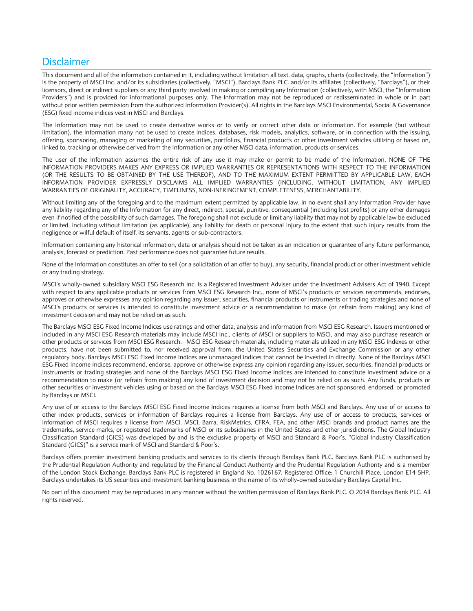## Disclaimer

This document and all of the information contained in it, including without limitation all text, data, graphs, charts (collectively, the "Information") is the property of MSCI Inc. and/or its subsidiaries (collectively, "MSCI"), Barclays Bank PLC. and/or its affiliates (collectively, "Barclays"), or their licensors, direct or indirect suppliers or any third party involved in making or compiling any Information (collectively, with MSCI, the "Information Providers") and is provided for informational purposes only. The Information may not be reproduced or redisseminated in whole or in part without prior written permission from the authorized Information Provider(s). All rights in the Barclays MSCI Environmental, Social & Governance (ESG) fixed income indices vest in MSCI and Barclays.

The Information may not be used to create derivative works or to verify or correct other data or information. For example (but without limitation), the Information many not be used to create indices, databases, risk models, analytics, software, or in connection with the issuing, offering, sponsoring, managing or marketing of any securities, portfolios, financial products or other investment vehicles utilizing or based on, linked to, tracking or otherwise derived from the Information or any other MSCI data, information, products or services.

The user of the Information assumes the entire risk of any use it may make or permit to be made of the Information. NONE OF THE INFORMATION PROVIDERS MAKES ANY EXPRESS OR IMPLIED WARRANTIES OR REPRESENTATIONS WITH RESPECT TO THE INFORMATION (OR THE RESULTS TO BE OBTAINED BY THE USE THEREOF), AND TO THE MAXIMUM EXTENT PERMITTED BY APPLICABLE LAW, EACH INFORMATION PROVIDER EXPRESSLY DISCLAIMS ALL IMPLIED WARRANTIES (INCLUDING, WITHOUT LIMITATION, ANY IMPLIED WARRANTIES OF ORIGINALITY, ACCURACY, TIMELINESS, NON-INFRINGEMENT, COMPLETENESS, MERCHANTABILITY.

Without limiting any of the foregoing and to the maximum extent permitted by applicable law, in no event shall any Information Provider have any liability regarding any of the Information for any direct, indirect, special, punitive, consequential (including lost profits) or any other damages even if notified of the possibility of such damages. The foregoing shall not exclude or limit any liability that may not by applicable law be excluded or limited, including without limitation (as applicable), any liability for death or personal injury to the extent that such injury results from the negligence or wilful default of itself, its servants, agents or sub-contractors.

Information containing any historical information, data or analysis should not be taken as an indication or guarantee of any future performance, analysis, forecast or prediction. Past performance does not guarantee future results.

None of the Information constitutes an offer to sell (or a solicitation of an offer to buy), any security, financial product or other investment vehicle or any trading strategy.

MSCI's wholly-owned subsidiary MSCI ESG Research Inc. is a Registered Investment Adviser under the Investment Advisers Act of 1940. Except with respect to any applicable products or services from MSCI ESG Research Inc., none of MSCI's products or services recommends, endorses, approves or otherwise expresses any opinion regarding any issuer, securities, financial products or instruments or trading strategies and none of MSCI's products or services is intended to constitute investment advice or a recommendation to make (or refrain from making) any kind of investment decision and may not be relied on as such.

The Barclays MSCI ESG Fixed Income Indices use ratings and other data, analysis and information from MSCI ESG Research. Issuers mentioned or included in any MSCI ESG Research materials may include MSCI Inc., clients of MSCI or suppliers to MSCI, and may also purchase research or other products or services from MSCI ESG Research. MSCI ESG Research materials, including materials utilized in any MSCI ESG Indexes or other products, have not been submitted to, nor received approval from, the United States Securities and Exchange Commission or any other regulatory body. Barclays MSCI ESG Fixed Income Indices are unmanaged indices that cannot be invested in directly. None of the Barclays MSCI ESG Fixed Income Indices recommend, endorse, approve or otherwise express any opinion regarding any issuer, securities, financial products or instruments or trading strategies and none of the Barclays MSCI ESG Fixed Income Indices are intended to constitute investment advice or a recommendation to make (or refrain from making) any kind of investment decision and may not be relied on as such. Any funds, products or other securities or investment vehicles using or based on the Barclays MSCI ESG Fixed Income Indices are not sponsored, endorsed, or promoted by Barclays or MSCI.

Any use of or access to the Barclays MSCI ESG Fixed Income Indices requires a license from both MSCI and Barclays. Any use of or access to other index products, services or information of Barclays requires a license from Barclays. Any use of or access to products, services or information of MSCI requires a license from MSCI. MSCI, Barra, RiskMetrics, CFRA, FEA, and other MSCI brands and product names are the trademarks, service marks, or registered trademarks of MSCI or its subsidiaries in the United States and other jurisdictions. The Global Industry Classification Standard (GICS) was developed by and is the exclusive property of MSCI and Standard & Poor's. "Global Industry Classification Standard (GICS)" is a service mark of MSCI and Standard & Poor's.

Barclays offers premier investment banking products and services to its clients through Barclays Bank PLC. Barclays Bank PLC is authorised by the Prudential Regulation Authority and regulated by the Financial Conduct Authority and the Prudential Regulation Authority and is a member of the London Stock Exchange. Barclays Bank PLC is registered in England No. 1026167. Registered Office: 1 Churchill Place, London E14 5HP. Barclays undertakes its US securities and investment banking business in the name of its wholly-owned subsidiary Barclays Capital Inc.

No part of this document may be reproduced in any manner without the written permission of Barclays Bank PLC. © 2014 Barclays Bank PLC. All rights reserved.